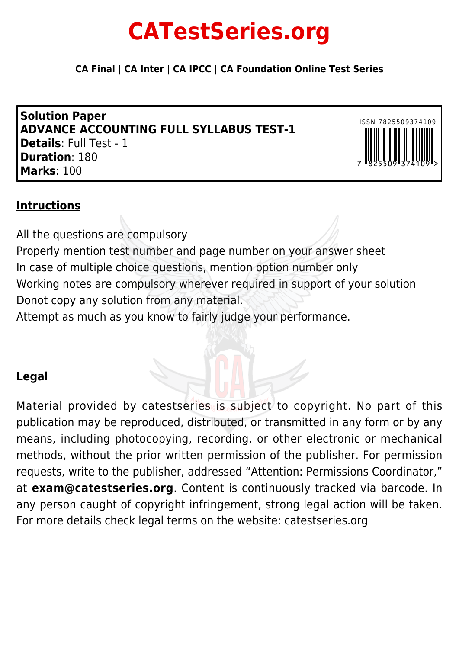## **CATestSeries.org**

**CA Final | CA Inter | CA IPCC | CA Foundation Online Test Series**

**Solution Paper ADVANCE ACCOUNTING FULL SYLLABUS TEST-1 Details**: Full Test - 1 **Duration**: 180 **Marks**: 100



## **Intructions**

All the questions are compulsory Properly mention test number and page number on your answer sheet In case of multiple choice questions, mention option number only Working notes are compulsory wherever required in support of your solution Donot copy any solution from any material. Attempt as much as you know to fairly judge your performance.

## **Legal**

Material provided by catestseries is subject to copyright. No part of this publication may be reproduced, distributed, or transmitted in any form or by any means, including photocopying, recording, or other electronic or mechanical methods, without the prior written permission of the publisher. For permission requests, write to the publisher, addressed "Attention: Permissions Coordinator," at **exam@catestseries.org**. Content is continuously tracked via barcode. In any person caught of copyright infringement, strong legal action will be taken. For more details check legal terms on the website: catestseries.org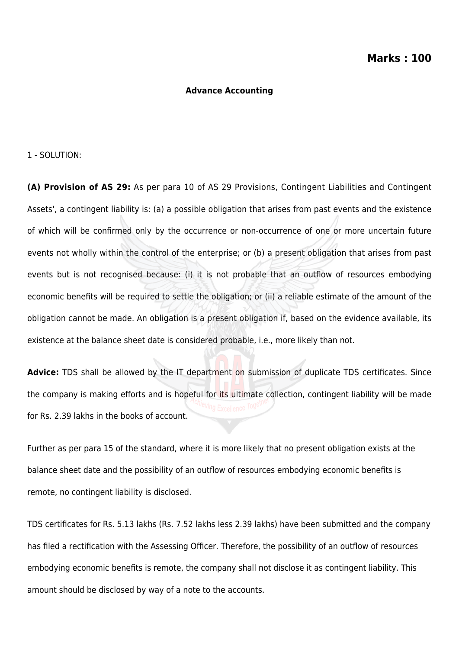#### **Advance Accounting**

1 - SOLUTION:

**(A) Provision of AS 29:** As per para 10 of AS 29 Provisions, Contingent Liabilities and Contingent Assets', a contingent liability is: (a) a possible obligation that arises from past events and the existence of which will be confirmed only by the occurrence or non-occurrence of one or more uncertain future events not wholly within the control of the enterprise; or (b) a present obligation that arises from past events but is not recognised because: (i) it is not probable that an outflow of resources embodying economic benefits will be required to settle the obligation; or (ii) a reliable estimate of the amount of the obligation cannot be made. An obligation is a present obligation if, based on the evidence available, its existence at the balance sheet date is considered probable, i.e., more likely than not.

**Advice:** TDS shall be allowed by the IT department on submission of duplicate TDS certificates. Since the company is making efforts and is hopeful for its ultimate collection, contingent liability will be made for Rs. 2.39 lakhs in the books of account.

Further as per para 15 of the standard, where it is more likely that no present obligation exists at the balance sheet date and the possibility of an outflow of resources embodying economic benefits is remote, no contingent liability is disclosed.

TDS certificates for Rs. 5.13 lakhs (Rs. 7.52 lakhs less 2.39 lakhs) have been submitted and the company has filed a rectification with the Assessing Officer. Therefore, the possibility of an outflow of resources embodying economic benefits is remote, the company shall not disclose it as contingent liability. This amount should be disclosed by way of a note to the accounts.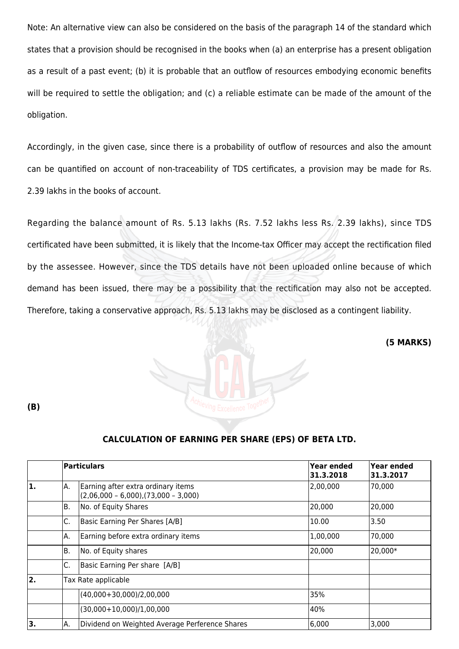Note: An alternative view can also be considered on the basis of the paragraph 14 of the standard which states that a provision should be recognised in the books when (a) an enterprise has a present obligation as a result of a past event; (b) it is probable that an outflow of resources embodying economic benefits will be required to settle the obligation; and (c) a reliable estimate can be made of the amount of the obligation.

Accordingly, in the given case, since there is a probability of outflow of resources and also the amount can be quantified on account of non-traceability of TDS certificates, a provision may be made for Rs. 2.39 lakhs in the books of account.

Regarding the balance amount of Rs. 5.13 lakhs (Rs. 7.52 lakhs less Rs. 2.39 lakhs), since TDS certificated have been submitted, it is likely that the Income-tax Officer may accept the rectification filed by the assessee. However, since the TDS details have not been uploaded online because of which demand has been issued, there may be a possibility that the rectification may also not be accepted. Therefore, taking a conservative approach, Rs. 5.13 lakhs may be disclosed as a contingent liability.

**(5 MARKS)**



#### **CALCULATION OF EARNING PER SHARE (EPS) OF BETA LTD.**

|                  |    | <b>Particulars</b>                                                              | Year ended<br>31.3.2018 | Year ended<br>31.3.2017 |
|------------------|----|---------------------------------------------------------------------------------|-------------------------|-------------------------|
| 1.               | А. | Earning after extra ordinary items<br>$(2,06,000 - 6,000)$ , $(73,000 - 3,000)$ | 2,00,000                | 70,000                  |
|                  | Β. | No. of Equity Shares                                                            | 20,000                  | 20,000                  |
|                  | С. | Basic Earning Per Shares [A/B]                                                  | 10.00                   | 3.50                    |
|                  | А. | Earning before extra ordinary items                                             | 1,00,000                | 170,000                 |
|                  | В. | No. of Equity shares                                                            | 20,000                  | 20,000*                 |
|                  | С. | Basic Earning Per share [A/B]                                                   |                         |                         |
| $\overline{2}$ . |    | Tax Rate applicable                                                             |                         |                         |
|                  |    | $(40,000+30,000)/2,00,000$                                                      | 35%                     |                         |
|                  |    | $(30,000+10,000)/1,00,000$                                                      | 40%                     |                         |
| 3.               | А. | Dividend on Weighted Average Perference Shares                                  | 6,000                   | 3,000                   |

**(B)**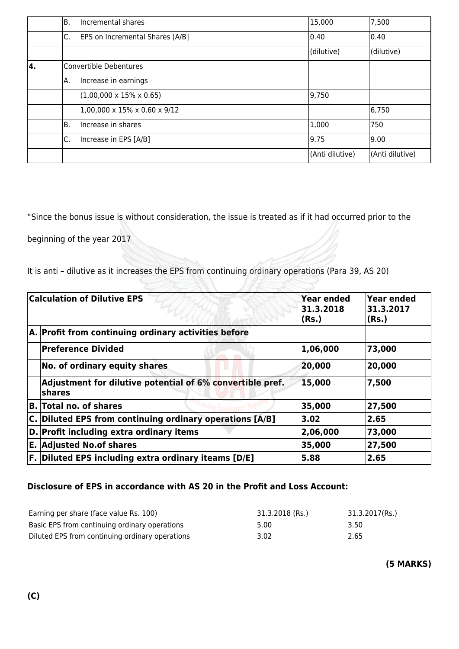|    | В. | Incremental shares                             | 15,000          | 7,500           |
|----|----|------------------------------------------------|-----------------|-----------------|
|    | С. | <b>EPS on Incremental Shares [A/B]</b>         | $ 0.40\rangle$  | 0.40            |
|    |    |                                                | (dilutive)      | (dilutive)      |
| 4. |    | Convertible Debentures                         |                 |                 |
|    | А. | Increase in earnings                           |                 |                 |
|    |    | $(1,00,000 \times 15\% \times 0.65)$           | 9,750           |                 |
|    |    | $1,00,000 \times 15\% \times 0.60 \times 9/12$ |                 | 6,750           |
|    | Β. | Increase in shares                             | 1,000           | 750             |
|    | С. | Increase in EPS [A/B]                          | 19.75           | 9.00            |
|    |    |                                                | (Anti dilutive) | (Anti dilutive) |

"Since the bonus issue is without consideration, the issue is treated as if it had occurred prior to the

beginning of the year 2017

It is anti – dilutive as it increases the EPS from continuing ordinary operations (Para 39, AS 20)

 $\mathbb{Z} \rightarrow \mathbb{R}$ 

| <b>Calculation of Dilutive EPS</b>                                         | <b>Year ended</b><br>31, 3, 2018<br>(Rs.) | Year ended<br>31.3.2017<br>(Rs.) |
|----------------------------------------------------------------------------|-------------------------------------------|----------------------------------|
| A. Profit from continuing ordinary activities before                       |                                           |                                  |
| <b>Preference Divided</b>                                                  | 1,06,000                                  | 73,000                           |
| No. of ordinary equity shares                                              | 20,000                                    | 20,000                           |
| Adjustment for dilutive potential of 6% convertible pref.<br><b>shares</b> | 15,000                                    | 7,500                            |
| <b>B.</b> Total no. of shares                                              | 35,000                                    | 27,500                           |
| C. Diluted EPS from continuing ordinary operations [A/B]                   | 3.02                                      | 2.65                             |
| D. Profit including extra ordinary items                                   | 2,06,000                                  | 73,000                           |
| <b>E. Adjusted No.of shares</b>                                            | 35,000                                    | 27,500                           |
| F. Diluted EPS including extra ordinary iteams [D/E]                       | 5.88                                      | 2.65                             |

#### **Disclosure of EPS in accordance with AS 20 in the Profit and Loss Account:**

| Earning per share (face value Rs. 100)          | 31.3.2018 (Rs.) | 31.3.2017(Rs.) |
|-------------------------------------------------|-----------------|----------------|
| Basic EPS from continuing ordinary operations   | 5.00            | 3.50           |
| Diluted EPS from continuing ordinary operations | 3.02            | 2.65           |

**(5 MARKS)**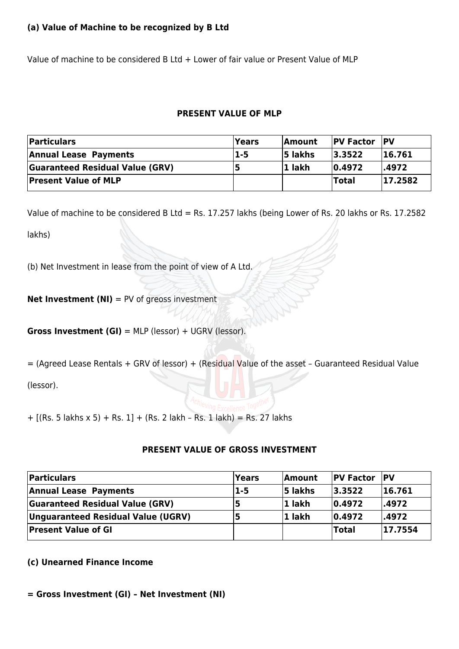#### **(a) Value of Machine to be recognized by B Ltd**

Value of machine to be considered B Ltd + Lower of fair value or Present Value of MLP

#### **PRESENT VALUE OF MLP**

| <b>Particulars</b>                     | Years   | <b>Amount</b>  | <b>PV Factor</b> | <b>PV</b> |
|----------------------------------------|---------|----------------|------------------|-----------|
| <b>Annual Lease Payments</b>           | $1 - 5$ | <b>5</b> lakhs | 3.3522           | 16.761    |
| <b>Guaranteed Residual Value (GRV)</b> |         | 11 lakh        | $ 0.4972\rangle$ | .4972     |
| <b>Present Value of MLP</b>            |         |                | Total            | 17.2582   |

Value of machine to be considered B Ltd = Rs. 17.257 lakhs (being Lower of Rs. 20 lakhs or Rs. 17.2582

lakhs)

(b) Net Investment in lease from the point of view of A Ltd.

**Net Investment (NI)** = PV of greoss investment

**Gross Investment (GI)** = MLP (lessor) + UGRV (lessor).

= (Agreed Lease Rentals + GRV of lessor) + (Residual Value of the asset – Guaranteed Residual Value

(lessor).

+ [(Rs. 5 lakhs x 5) + Rs. 1] + (Rs. 2 lakh – Rs. 1 lakh) = Rs. 27 lakhs

#### **PRESENT VALUE OF GROSS INVESTMENT**

| Particulars                            | <b>Years</b> | Amount         | <b>PV Factor PV</b> |         |
|----------------------------------------|--------------|----------------|---------------------|---------|
| <b>Annual Lease Payments</b>           | $1 - 5$      | <b>5 lakhs</b> | 3.3522              | 16.761  |
| <b>Guaranteed Residual Value (GRV)</b> |              | 1 lakh         | $ 0.4972\rangle$    | l.4972  |
| Unguaranteed Residual Value (UGRV)     |              | 1 lakh         | $ 0.4972\rangle$    | .4972   |
| <b>Present Value of GI</b>             |              |                | <b>Total</b>        | 17.7554 |

#### **(c) Unearned Finance Income**

**= Gross Investment (GI) – Net Investment (NI)**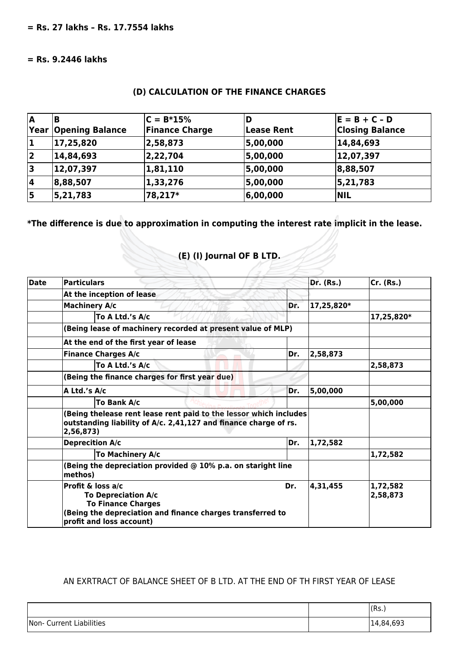#### **= Rs. 9.2446 lakhs**

#### **(D) CALCULATION OF THE FINANCE CHARGES**

| ۱A   |                        | $C = B*15%$           |                   | $E = B + C - D$        |
|------|------------------------|-----------------------|-------------------|------------------------|
| Year | <b>Opening Balance</b> | <b>Finance Charge</b> | <b>Lease Rent</b> | <b>Closing Balance</b> |
| 1    | 17,25,820              | 2,58,873              | 5,00,000          | 14,84,693              |
| 2    | 14,84,693              | 2,22,704              | 5,00,000          | 12,07,397              |
| 3    | 12,07,397              | 1,81,110              | 5,00,000          | 8,88,507               |
| 14   | 8,88,507               | 1,33,276              | 5,00,000          | 5, 21, 783             |
| 15   | 5, 21, 783             | 78,217*               | 6,00,000          | <b>NIL</b>             |

**\*The difference is due to approximation in computing the interest rate implicit in the lease.**

# **(E) (I) Journal OF B LTD.**

| <b>Date</b> | <b>Particulars</b>                                                                                                                                                     |     | <b>Dr.</b> (Rs.) | Cr. (Rs.)            |
|-------------|------------------------------------------------------------------------------------------------------------------------------------------------------------------------|-----|------------------|----------------------|
|             | At the inception of lease                                                                                                                                              |     |                  |                      |
|             | <b>Machinery A/c</b>                                                                                                                                                   | Dr. | 17,25,820*       |                      |
|             | To A Ltd.'s A/c                                                                                                                                                        |     | 17,25,820*       |                      |
|             | (Being lease of machinery recorded at present value of MLP)                                                                                                            |     |                  |                      |
|             | At the end of the first year of lease                                                                                                                                  |     |                  |                      |
|             | <b>Finance Charges A/c</b>                                                                                                                                             | Dr. | 2,58,873         |                      |
|             | To A Ltd.'s A/c                                                                                                                                                        |     | 2,58,873         |                      |
|             | (Being the finance charges for first year due)                                                                                                                         |     |                  |                      |
|             | A Ltd.'s A/c                                                                                                                                                           | Dr. | 5,00,000         |                      |
|             | <b>To Bank A/c</b>                                                                                                                                                     |     |                  | 5,00,000             |
|             | (Being thelease rent lease rent paid to the lessor which includes<br>outstanding liability of A/c. 2,41,127 and finance charge of rs.<br>2,56,873)                     |     |                  |                      |
|             | <b>Deprecition A/c</b>                                                                                                                                                 | Dr. | 1,72,582         |                      |
|             | To Machinery A/c                                                                                                                                                       |     |                  | 1,72,582             |
|             | (Being the depreciation provided $@$ 10% p.a. on staright line<br>methos)                                                                                              |     |                  |                      |
|             | Profit & loss a/c<br><b>To Depreciation A/c</b><br><b>To Finance Charges</b><br>(Being the depreciation and finance charges transferred to<br>profit and loss account) | Dr. | 4,31,455         | 1,72,582<br>2,58,873 |

#### AN EXRTRACT OF BALANCE SHEET OF B LTD. AT THE END OF TH FIRST YEAR OF LEASE

|                                    | (Rs.)     |
|------------------------------------|-----------|
| <b>Current Liabilities</b><br>Non- | 14,84,693 |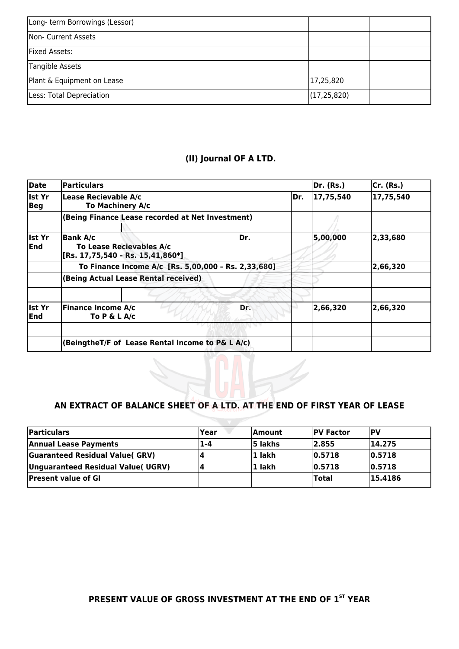| Long- term Borrowings (Lessor) |               |  |
|--------------------------------|---------------|--|
| Non- Current Assets            |               |  |
| Fixed Assets:                  |               |  |
| Tangible Assets                |               |  |
| Plant & Equipment on Lease     | 17,25,820     |  |
| Less: Total Depreciation       | (17, 25, 820) |  |

## **(II) Journal OF A LTD.**

| Date                        | <b>Particulars</b>                                                                           |                                                  |     |     | Dr. (Rs.) | Cr. (Rs.) |
|-----------------------------|----------------------------------------------------------------------------------------------|--------------------------------------------------|-----|-----|-----------|-----------|
| Ist Yr<br>Beg               | Lease Recievable A/c<br>To Machinery A/c                                                     |                                                  |     | Dr. | 17,75,540 | 17,75,540 |
|                             |                                                                                              | (Being Finance Lease recorded at Net Investment) |     |     |           |           |
| lst Yr<br><b>End</b>        | <b>Bank A/c</b><br>Dr.<br>To Lease Recievables A/c<br>$[Rs. 17, 75, 540 - Rs. 15, 41, 860*]$ |                                                  |     |     | 5,00,000  | 2,33,680  |
|                             | To Finance Income A/c [Rs. 5,00,000 - Rs. 2,33,680]                                          |                                                  |     |     |           | 2,66,320  |
|                             | (Being Actual Lease Rental received)                                                         |                                                  |     |     |           |           |
| <b>Ist Yr</b><br><b>End</b> | <b>Finance Income A/c</b><br>To $P \& L A/c$                                                 |                                                  | Dr. |     | 2,66,320  | 2,66,320  |
|                             | (BeingtheT/F of Lease Rental Income to P& L A/c)                                             |                                                  |     |     |           |           |

#### **AN EXTRACT OF BALANCE SHEET OF A LTD. AT THE END OF FIRST YEAR OF LEASE**

| <b>Particulars</b>                    | <b>Year</b> | <b>Amount</b> | <b>IPV Factor</b> | IPV     |
|---------------------------------------|-------------|---------------|-------------------|---------|
| <b>Annual Lease Payments</b>          | 1-4         | 5 lakhs       | 12.855            | 14.275  |
| <b>Guaranteed Residual Value(GRV)</b> | д           | 1 lakh        | 0.5718            | 0.5718  |
| Unguaranteed Residual Value( UGRV)    | 14          | 1 lakh        | 0.5718            | 0.5718  |
| <b>Present value of GI</b>            |             |               | <b>Total</b>      | 15.4186 |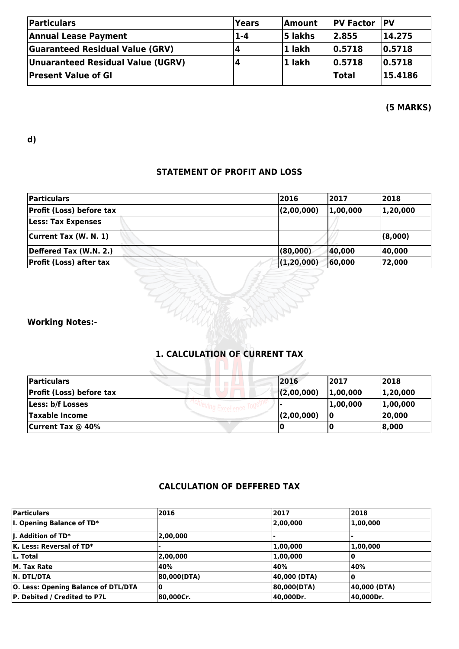| <b>Particulars</b>                     | <b>Years</b> | <b>Amount</b>  | <b>PV Factor</b> | <b>IPV</b> |
|----------------------------------------|--------------|----------------|------------------|------------|
| <b>Annual Lease Payment</b>            | $1 - 4$      | <b>5 lakhs</b> | 2.855            | 14.275     |
| <b>Guaranteed Residual Value (GRV)</b> |              | l1 lakh        | 0.5718           | 0.5718     |
| Unuaranteed Residual Value (UGRV)      |              | 1 lakh         | 0.5718           | 0.5718     |
| <b>Present Value of GI</b>             |              |                | <b>Total</b>     | 15.4186    |

#### **(5 MARKS)**

**d)**

#### **STATEMENT OF PROFIT AND LOSS**

| Particulars                     | 2016         | 2017     | 2018     |
|---------------------------------|--------------|----------|----------|
| <b>Profit (Loss) before tax</b> | (2,00,000)   | 1,00,000 | 1,20,000 |
| <b>Less: Tax Expenses</b>       |              |          |          |
| Current Tax (W. N. 1)           |              |          | (8,000)  |
| Deffered Tax (W.N. 2.)          | (80,000)     | 40,000   | 40,000   |
| <b>Profit (Loss) after tax</b>  | (1, 20, 000) | 60,000   | 72,000   |
|                                 |              |          |          |
| <b>Working Notes:-</b>          |              |          |          |

### **1. CALCULATION OF CURRENT TAX**

| <b>Particulars</b>              | 2016       | 2017     | 2018     |
|---------------------------------|------------|----------|----------|
| <b>Profit (Loss) before tax</b> | (2,00,000) | 1.00,000 | 1,20,000 |
| Less: b/f Losses                |            | 1.00.000 | 1,00,000 |
| <b>Taxable Income</b>           | (2,00,000) | ١O       | 20,000   |
| <b>Current Tax @ 40%</b>        |            |          | 8,000    |

## **CALCULATION OF DEFFERED TAX**

| <b>Particulars</b>                         | 2016        | 2017         | 2018         |
|--------------------------------------------|-------------|--------------|--------------|
| $ I.$ Opening Balance of TD*               |             | 2,00,000     | 1,00,000     |
| $\parallel$ . Addition of TD*              | 2,00,000    |              |              |
| $\mathsf K$ . Less: Reversal of TD*        |             | 1,00,000     | 1,00,000     |
| L. Total                                   | 2,00,000    | 1,00,000     |              |
| M. Tax Rate                                | 40%         | 40%          | 40%          |
| <b>N. DTL/DTA</b>                          | 80,000(DTA) | 40,000 (DTA) |              |
| <b>O. Less: Opening Balance of DTL/DTA</b> | 10          | 80,000(DTA)  | 40,000 (DTA) |
| <b>P. Debited / Credited to P7L</b>        | 80,000Cr.   | 40,000Dr.    | 40,000Dr.    |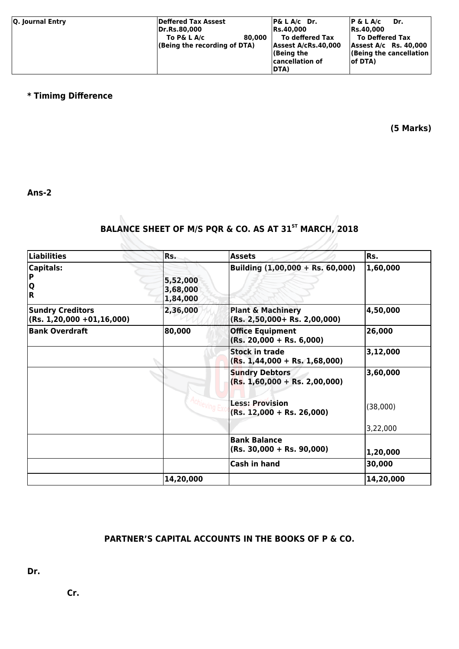| Q. Journal Entry | Deffered Tax Assest<br><b>Dr.Rs.80.000</b><br>To P& L A/c<br>(Being the recording of DTA) | 80,000 | $ P\&L A/c$ Dr.<br><b>Rs.40.000</b><br>To deffered Tax<br>Assest A/cRs.40,000<br>$ $ (Being the<br> cancellation of<br><b>DTA)</b> | $P \& L A/c$<br>Dr.<br>Rs.40,000<br>To Deffered Tax<br>Assest $A/c$ Rs. 40,000<br>(Being the cancellation<br>lof DTA) |
|------------------|-------------------------------------------------------------------------------------------|--------|------------------------------------------------------------------------------------------------------------------------------------|-----------------------------------------------------------------------------------------------------------------------|
|------------------|-------------------------------------------------------------------------------------------|--------|------------------------------------------------------------------------------------------------------------------------------------|-----------------------------------------------------------------------------------------------------------------------|

#### **\* Timimg Difference**

**(5 Marks)**

**Ans-2**

## **BALANCE SHEET OF M/S PQR & CO. AS AT 31ST MARCH, 2018**

| Liabilities                                                    | Rs.                              | <b>Assets</b>                                                       | Rs.       |
|----------------------------------------------------------------|----------------------------------|---------------------------------------------------------------------|-----------|
| <b>Capitals:</b><br>l P<br>$\frac{ \mathsf{Q} }{ \mathsf{R} }$ | 5,52,000<br>3,68,000<br>1,84,000 | Building (1,00,000 + Rs. 60,000)                                    | 1,60,000  |
| <b>Sundry Creditors</b><br>$(Rs. 1, 20, 000 + 01, 16, 000)$    | 2,36,000                         | <b>Plant &amp; Machinery</b><br>$(Rs. 2, 50, 000 + Rs. 2, 00, 000)$ | 4,50,000  |
| <b>Bank Overdraft</b>                                          | 80,000                           | <b>Office Equipment</b><br>$(Rs. 20,000 + Rs. 6,000)$               | 26,000    |
|                                                                |                                  | <b>Stock in trade</b><br>$(Rs. 1,44,000 + Rs. 1,68,000)$            | 3,12,000  |
|                                                                |                                  | <b>Sundry Debtors</b><br>$(Rs. 1,60,000 + Rs. 2,00,000)$            | 3,60,000  |
|                                                                |                                  | <b>Less: Provision</b><br>$(Rs. 12,000 + Rs. 26,000)$               | (38,000)  |
|                                                                |                                  |                                                                     | 3,22,000  |
|                                                                |                                  | <b>Bank Balance</b><br>$(Rs. 30,000 + Rs. 90,000)$                  | 1,20,000  |
|                                                                |                                  | <b>Cash in hand</b>                                                 | 30,000    |
|                                                                | 14,20,000                        |                                                                     | 14,20,000 |

## **PARTNER'S CAPITAL ACCOUNTS IN THE BOOKS OF P & CO.**

**Dr.** 

 **Cr.**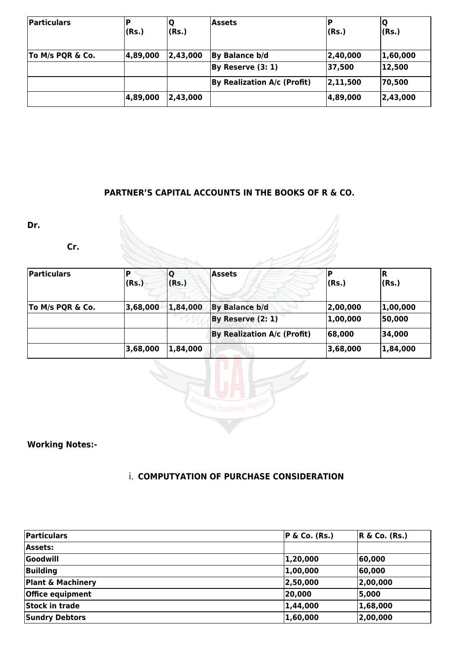| Particulars      | (Rs.)    | Q<br>(Rs.) | <b>Assets</b>               | (Rs.)    | ΙQ<br>(Rs.) |
|------------------|----------|------------|-----------------------------|----------|-------------|
| To M/s PQR & Co. | 4,89,000 | 2,43,000   | By Balance b/d              | 2,40,000 | 1,60,000    |
|                  |          |            | By Reserve (3: 1)           | 37,500   | 12,500      |
|                  |          |            | By Realization A/c (Profit) | 2,11,500 | 70,500      |
|                  | 4,89,000 | 2,43,000   |                             | 4,89,000 | 2,43,000    |

## **PARTNER'S CAPITAL ACCOUNTS IN THE BOOKS OF R & CO.**

**Dr.** 

 **Cr.**

| Particulars      | D<br>(Rs.) | IО<br>(Rs.) | <b>Assets</b>               | (Rs.)    | IR.<br>(Rs.) |
|------------------|------------|-------------|-----------------------------|----------|--------------|
| To M/s PQR & Co. | 3,68,000   | 1,84,000    | <b>By Balance b/d</b>       | 2,00,000 | 1,00,000     |
|                  |            |             | By Reserve (2: 1)           | 1,00,000 | 50,000       |
|                  |            |             | By Realization A/c (Profit) | 68,000   | 34,000       |
|                  | 3,68,000   | 1,84,000    |                             | 3,68,000 | 1,84,000     |



**Working Notes:-**

## i. **COMPUTYATION OF PURCHASE CONSIDERATION**

| Particulars                  | $ P \& Co. (Rs.)$ | $R \& Co. (Rs.)$ |
|------------------------------|-------------------|------------------|
| <b>Assets:</b>               |                   |                  |
| Goodwill                     | 1,20,000          | 60,000           |
| <b>Building</b>              | 1,00,000          | 60,000           |
| <b>Plant &amp; Machinery</b> | 2,50,000          | 2,00,000         |
| Office equipment             | 20,000            | 5,000            |
| <b>Stock in trade</b>        | 1,44,000          | 1,68,000         |
| <b>Sundry Debtors</b>        | 1,60,000          | 2,00,000         |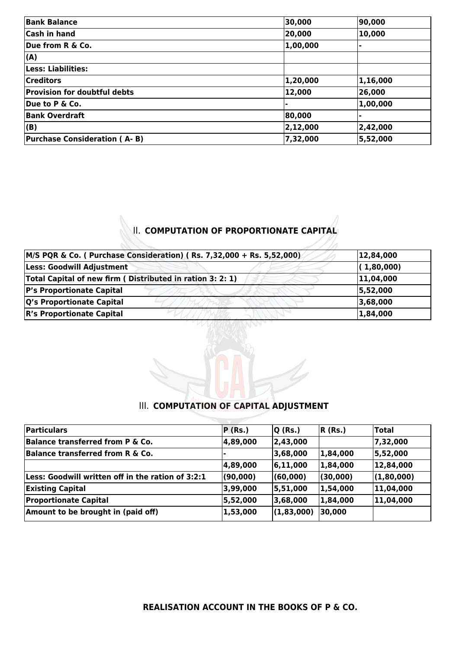| <b>Bank Balance</b>                 | 30,000   | 90,000   |
|-------------------------------------|----------|----------|
| Cash in hand                        | 20,000   | 10,000   |
| Due from R & Co.                    | 1,00,000 |          |
| (A)                                 |          |          |
| Less: Liabilities:                  |          |          |
| <b>Creditors</b>                    | 1,20,000 | 1,16,000 |
| <b>Provision for doubtful debts</b> | 12,000   | 26,000   |
| Due to P & Co.                      |          | 1,00,000 |
| <b>Bank Overdraft</b>               | 80,000   |          |
| $ $ (B)                             | 2,12,000 | 2,42,000 |
| <b>Purchase Consideration (A-B)</b> | 7,32,000 | 5,52,000 |

## **II. COMPUTATION OF PROPORTIONATE CAPITAL**

| M/S PQR & Co. ( Purchase Consideration) (Rs. 7,32,000 + Rs. 5,52,000) | 12,84,000  |
|-----------------------------------------------------------------------|------------|
| Less: Goodwill Adjustment                                             | (1,80,000) |
| Total Capital of new firm (Distributed in ration 3: 2: 1)             | 11,04,000  |
| <b>P's Proportionate Capital</b>                                      | 5,52,000   |
| Q's Proportionate Capital                                             | 3,68,000   |
| <b>R's Proportionate Capital</b>                                      | 1,84,000   |



#### **III. COMPUTATION OF CAPITAL ADJUSTMENT**

| P(Rs.)   | $ Q$ (Rs.) | $R$ (Rs.) | <b>Total</b> |
|----------|------------|-----------|--------------|
| 4,89,000 | 2,43,000   |           | 7,32,000     |
|          | 3,68,000   | 1,84,000  | 5,52,000     |
| 4,89,000 | 6, 11, 000 | 1,84,000  | 12,84,000    |
| (90,000) | (60,000)   | (30,000)  | (1,80,000)   |
| 3,99,000 | 5,51,000   | 1,54,000  | 11,04,000    |
| 5,52,000 | 3,68,000   | 1,84,000  | 11,04,000    |
| 1,53,000 | (1,83,000) | 30,000    |              |
|          |            |           |              |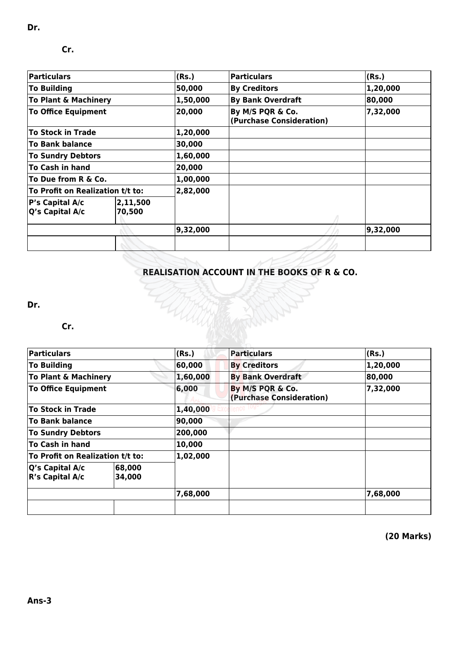| <b>Particulars</b>                                          |  | (Rs.)    | Particulars                                  | (Rs.)    |
|-------------------------------------------------------------|--|----------|----------------------------------------------|----------|
| <b>To Building</b>                                          |  | 50,000   | <b>By Creditors</b>                          | 1,20,000 |
| <b>To Plant &amp; Machinery</b>                             |  | 1,50,000 | <b>By Bank Overdraft</b>                     | 80,000   |
| <b>To Office Equipment</b>                                  |  | 20,000   | By M/S PQR & Co.<br>(Purchase Consideration) | 7,32,000 |
| <b>To Stock in Trade</b>                                    |  | 1,20,000 |                                              |          |
| <b>To Bank balance</b>                                      |  | 30,000   |                                              |          |
| <b>To Sundry Debtors</b>                                    |  | 1,60,000 |                                              |          |
| To Cash in hand                                             |  | 20,000   |                                              |          |
| To Due from R & Co.                                         |  | 1,00,000 |                                              |          |
| To Profit on Realization t/t to:                            |  | 2,82,000 |                                              |          |
| 2,11,500<br>P's Capital A/c<br>$ Q's$ Capital A/c<br>70,500 |  |          |                                              |          |
|                                                             |  | 9,32,000 |                                              | 9,32,000 |
|                                                             |  |          |                                              |          |

## **REALISATION ACCOUNT IN THE BOOKS OF R & CO.**

**Dr.** 

#### **Cr.**

| Particulars                                                 |  | (Rs.)    | Particulars                                  | (Rs.)    |
|-------------------------------------------------------------|--|----------|----------------------------------------------|----------|
| To Building                                                 |  | 60,000   | <b>By Creditors</b>                          | 1,20,000 |
| To Plant & Machinery                                        |  | 1,60,000 | <b>By Bank Overdraft</b>                     | 80,000   |
| <b>To Office Equipment</b>                                  |  | 6,000    | By M/S PQR & Co.<br>(Purchase Consideration) | 7,32,000 |
| To Stock in Trade                                           |  | 1,40,000 |                                              |          |
| <b>To Bank balance</b>                                      |  | 90,000   |                                              |          |
| <b>To Sundry Debtors</b>                                    |  | 200,000  |                                              |          |
| To Cash in hand                                             |  | 10,000   |                                              |          |
| To Profit on Realization t/t to:                            |  | 1,02,000 |                                              |          |
| 68,000<br>$ Q's$ Capital A/c<br>$R's$ Capital A/c<br>34,000 |  |          |                                              |          |
|                                                             |  | 7,68,000 |                                              | 7,68,000 |
|                                                             |  |          |                                              |          |

HARRI

**(20 Marks)**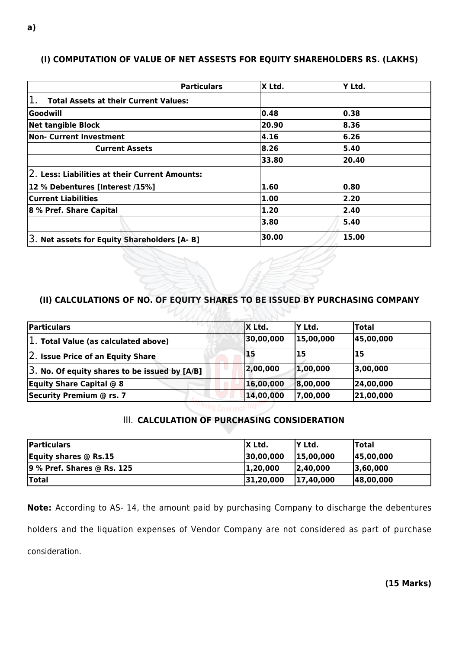#### **(I) COMPUTATION OF VALUE OF NET ASSESTS FOR EQUITY SHAREHOLDERS RS. (LAKHS)**

| <b>Particulars</b>                                 | X Ltd. | Y Ltd. |
|----------------------------------------------------|--------|--------|
| <b>Total Assets at their Current Values:</b>       |        |        |
| <b>Goodwill</b>                                    | 0.48   | 0.38   |
| <b>Net tangible Block</b>                          | 20.90  | 8.36   |
| Non- Current Investment                            | 4.16   | 6.26   |
| <b>Current Assets</b>                              | 8.26   | 5.40   |
|                                                    | 33.80  | 20.40  |
| $ 2$ . Less: Liabilities at their Current Amounts: |        |        |
| 12 % Debentures [Interest /15%]                    | 1.60   | 0.80   |
| <b>Current Liabilities</b>                         | 1.00   | 2.20   |
| 8 % Pref. Share Capital                            | 1.20   | 2.40   |
|                                                    | 3.80   | 5.40   |
| 3. Net assets for Equity Shareholders [A-B]        | 30.00  | 15.00  |

#### **(II) CALCULATIONS OF NO. OF EQUITY SHARES TO BE ISSUED BY PURCHASING COMPANY**

マレノノム

| Particulars                                        | X Ltd.    | lY Ltd.   | <b>Total</b> |
|----------------------------------------------------|-----------|-----------|--------------|
| $ 1.$ Total Value (as calculated above)            | 30,00,000 | 15,00,000 | 45,00,000    |
| 2. Issue Price of an Equity Share                  | 15        | 15        | 15           |
| $ 3.$ No. Of equity shares to be issued by $[A/B]$ | 2,00,000  | 1,00,000  | 3,00,000     |
| <b>Equity Share Capital @ 8</b>                    | 16,00,000 | 8,00,000  | 24,00,000    |
| Security Premium @ rs. 7                           | 14,00,000 | 7,00,000  | 21,00,000    |

#### **III. CALCULATION OF PURCHASING CONSIDERATION**

| <b>Particulars</b>         | X Ltd.    | 'Y Ltd.   | <b>Total</b> |
|----------------------------|-----------|-----------|--------------|
| Equity shares $@$ Rs.15    | 30,00,000 | 15,00,000 | 45,00,000    |
| 9 % Pref. Shares @ Rs. 125 | 1,20,000  | 2,40,000  | 3,60,000     |
| <b>'Total</b>              | 31,20,000 | 17,40,000 | 48,00,000    |

**Note:** According to AS- 14, the amount paid by purchasing Company to discharge the debentures holders and the liquation expenses of Vendor Company are not considered as part of purchase consideration.

**(15 Marks)**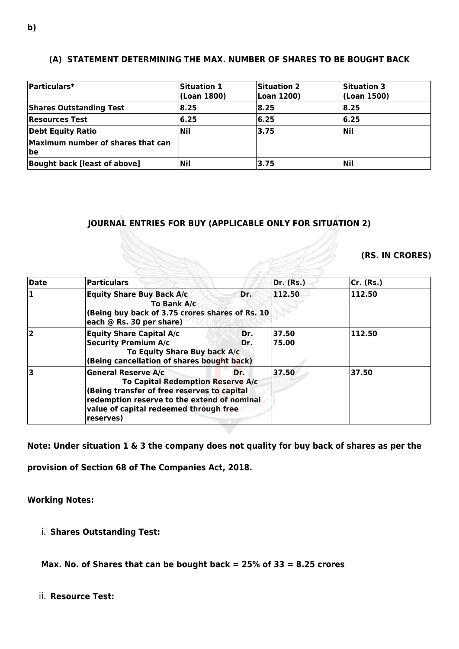#### **(A) STATEMENT DETERMINING THE MAX. NUMBER OF SHARES TO BE BOUGHT BACK**

| Particulars*                             | Situation 1<br>(Loan 1800) | <b>Situation 2</b><br>Loan 1200) | <b>Situation 3</b><br>(Loan 1500) |
|------------------------------------------|----------------------------|----------------------------------|-----------------------------------|
| <b>Shares Outstanding Test</b>           | 8.25                       | 18.25                            | 8.25                              |
| <b>Resources Test</b>                    | 6.25                       | 16.25                            | 6.25                              |
| Debt Equity Ratio                        | Nil                        | 3.75                             | <b>Nil</b>                        |
| Maximum number of shares that can<br> be |                            |                                  |                                   |
| <b>Bought back [least of above]</b>      | Nil                        | 3.75                             | <b>Nil</b>                        |

#### **JOURNAL ENTRIES FOR BUY (APPLICABLE ONLY FOR SITUATION 2)**

#### **(RS. IN CRORES)**

|                         |                                                                                                                                                                                                                             |                  | (RS. IN CRORES) |
|-------------------------|-----------------------------------------------------------------------------------------------------------------------------------------------------------------------------------------------------------------------------|------------------|-----------------|
| Date                    | <b>Particulars</b>                                                                                                                                                                                                          | <b>Dr.</b> (Rs.) | Cr. (Rs.)       |
| 1                       | <b>Equity Share Buy Back A/c</b><br>Dr.<br>To Bank A/c<br>(Being buy back of 3.75 crores shares of Rs. 10<br>each @ Rs. 30 per share)                                                                                       | 112.50           | 112.50          |
| $\overline{\mathbf{2}}$ | <b>Equity Share Capital A/c</b><br>Dr.<br><b>Security Premium A/c</b><br>Dr.<br>To Equity Share Buy back A/c<br>(Being cancellation of shares bought back)                                                                  | 37.50<br>75.00   | 112.50          |
| 3                       | <b>General Reserve A/c</b><br>Dr.<br>To Capital Redemption Reserve A/c<br>(Being transfer of free reserves to capital<br>redemption reserve to the extend of nominal<br>value of capital redeemed through free<br>reserves) | 37.50            | 37.50           |

**Note: Under situation 1 & 3 the company does not quality for buy back of shares as per the**

**provision of Section 68 of The Companies Act, 2018.**

#### **Working Notes:**

i. **Shares Outstanding Test:**

**Max. No. of Shares that can be bought back = 25% of 33 = 8.25 crores**

ii. **Resource Test:**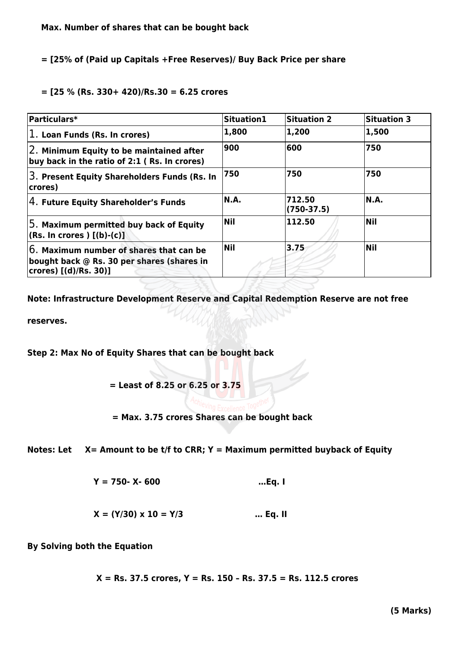#### **= [25% of (Paid up Capitals +Free Reserves)/ Buy Back Price per share**

#### **= [25 % (Rs. 330+ 420)/Rs.30 = 6.25 crores**

| Particulars*                                                                                                     | Situation1 | <b>Situation 2</b>     | <b>Situation 3</b> |
|------------------------------------------------------------------------------------------------------------------|------------|------------------------|--------------------|
| $ 1.$ Loan Funds (Rs. In crores)                                                                                 | 1,800      | 1,200                  | 1,500              |
| $ 2.$ Minimum Equity to be maintained after<br>buy back in the ratio of $2:1$ (Rs. In crores)                    | 900        | 600                    | 750                |
| 3. Present Equity Shareholders Funds (Rs. In<br>crores)                                                          | 750        | 750                    | 750                |
| $\sqrt{4}$ . Future Equity Shareholder's Funds                                                                   | N.A.       | 712.50<br>$(750-37.5)$ | N.A.               |
| $ 5.$ Maximum permitted buy back of Equity<br>$ $ (Rs. In crores ) [(b)-(c)]                                     | <b>Nil</b> | 112.50                 | <b>Nil</b>         |
| $6.$ Maximum number of shares that can be<br>bought back @ Rs. 30 per shares (shares in<br>crores) [(d)/Rs. 30)] | <b>Nil</b> | 3.75                   | <b>Nil</b>         |

**Note: Infrastructure Development Reserve and Capital Redemption Reserve are not free**

**reserves.**

**Step 2: Max No of Equity Shares that can be bought back**

 **= Least of 8.25 or 6.25 or 3.75**

#### **= Max. 3.75 crores Shares can be bought back**

**Notes: Let X= Amount to be t/f to CRR; Y = Maximum permitted buyback of Equity**

 **Y = 750- X- 600 …Eq. I**

$$
X = (Y/30) \times 10 = Y/3
$$
 ... Eq. II

**By Solving both the Equation**

 **X = Rs. 37.5 crores, Y = Rs. 150 – Rs. 37.5 = Rs. 112.5 crores**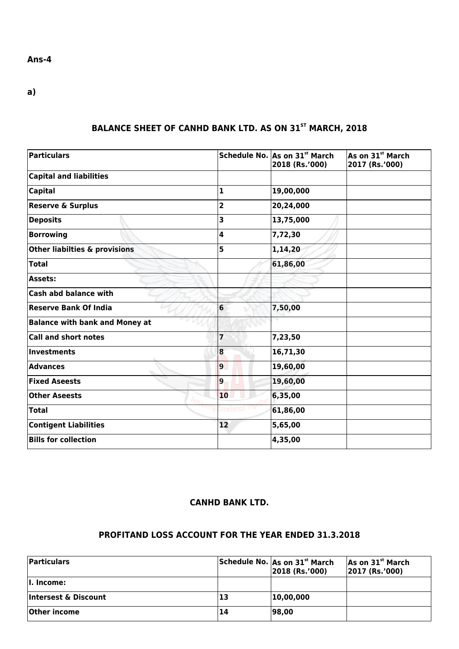#### **Ans-4**

**a)**

## **BALANCE SHEET OF CANHD BANK LTD. AS ON 31ST MARCH, 2018**

| <b>Particulars</b>                       |                | Schedule No. As on 31 <sup>st</sup> March<br>2018 (Rs.'000) | $\overline{\mathsf{As}}$ on 31st March<br>2017 (Rs.'000) |
|------------------------------------------|----------------|-------------------------------------------------------------|----------------------------------------------------------|
| <b>Capital and liabilities</b>           |                |                                                             |                                                          |
| <b>Capital</b>                           | 1              | 19,00,000                                                   |                                                          |
| <b>Reserve &amp; Surplus</b>             | 2              | 20,24,000                                                   |                                                          |
| <b>Deposits</b>                          | 3              | 13,75,000                                                   |                                                          |
| <b>Borrowing</b>                         | 4              | 7,72,30                                                     |                                                          |
| <b>Other liabilties &amp; provisions</b> | 5              | 1,14,20                                                     |                                                          |
| <b>Total</b>                             |                | 61,86,00                                                    |                                                          |
| <b>Assets:</b>                           |                |                                                             |                                                          |
| <b>Cash abd balance with</b>             |                |                                                             |                                                          |
| <b>Reserve Bank Of India</b>             | 6              | 7,50,00                                                     |                                                          |
| <b>Balance with bank and Money at</b>    |                |                                                             |                                                          |
| <b>Call and short notes</b>              | 7              | 7,23,50                                                     |                                                          |
| <b>Investments</b>                       | 8              | 16,71,30                                                    |                                                          |
| <b>Advances</b>                          | $\overline{9}$ | 19,60,00                                                    |                                                          |
| <b>Fixed Aseests</b>                     | $\overline{9}$ | 19,60,00                                                    |                                                          |
| <b>Other Aseests</b>                     | 10             | 6,35,00                                                     |                                                          |
| <b>Total</b>                             |                | 61,86,00                                                    |                                                          |
| <b>Contigent Liabilities</b>             | 12             | 5,65,00                                                     |                                                          |
| <b>Bills for collection</b>              |                | 4,35,00                                                     |                                                          |

#### **CANHD BANK LTD.**

#### **PROFITAND LOSS ACCOUNT FOR THE YEAR ENDED 31.3.2018**

| <b>Particulars</b>   |    | Schedule No. As on 31 <sup>st</sup> March<br>$ 2018$ (Rs.'000) | As on 31 <sup>st</sup> March<br>$ 2017$ (Rs.'000) |
|----------------------|----|----------------------------------------------------------------|---------------------------------------------------|
| II. Income:          |    |                                                                |                                                   |
| Intersest & Discount | 13 | 10,00,000                                                      |                                                   |
| Other income         | 14 | 98,00                                                          |                                                   |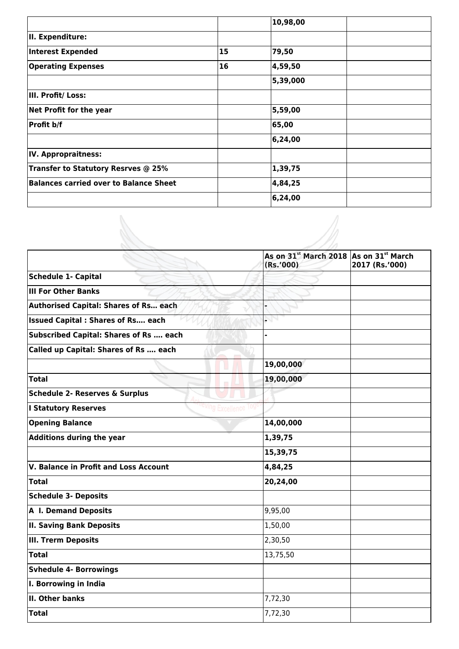|                                        |           | 10,98,00  |  |
|----------------------------------------|-----------|-----------|--|
| II. Expenditure:                       |           |           |  |
| Interest Expended                      | 15        | 79,50     |  |
| <b>Operating Expenses</b>              | <b>16</b> | 4,59,50   |  |
|                                        |           | 5,39,000  |  |
| III. Profit/ Loss:                     |           |           |  |
| Net Profit for the year                |           | 5,59,00   |  |
| Profit b/f                             |           | 65,00     |  |
|                                        |           | 6, 24, 00 |  |
| IV. Appropraitness:                    |           |           |  |
| Transfer to Statutory Resrves @ 25%    |           | 1,39,75   |  |
| Balances carried over to Balance Sheet |           | 4,84,25   |  |
|                                        |           | 6, 24, 00 |  |

 $\mathscr{A}$ 

|                                               | As on 31st March 2018 As on 31st March<br>(Rs.'000) | 2017 (Rs.'000) |
|-----------------------------------------------|-----------------------------------------------------|----------------|
| Schedule 1- Capital                           |                                                     |                |
| <b>III For Other Banks</b>                    |                                                     |                |
| <b>Authorised Capital: Shares of Rs each</b>  |                                                     |                |
| <b>Issued Capital: Shares of Rs each</b>      | NN                                                  |                |
| <b>Subscribed Capital: Shares of Rs  each</b> |                                                     |                |
| Called up Capital: Shares of Rs  each         |                                                     |                |
|                                               | 19,00,000                                           |                |
| Total                                         | 19,00,000                                           |                |
| <b>Schedule 2- Reserves &amp; Surplus</b>     |                                                     |                |
| <b>I Statutory Reserves</b>                   |                                                     |                |
| <b>Opening Balance</b>                        | 14,00,000                                           |                |
| <b>Additions during the year</b>              | 1,39,75                                             |                |
|                                               | 15,39,75                                            |                |
| V. Balance in Profit and Loss Account         | 4,84,25                                             |                |
| $\sf {Total}$                                 | 20,24,00                                            |                |
| <b>Schedule 3- Deposits</b>                   |                                                     |                |
| A I. Demand Deposits                          | 9,95,00                                             |                |
| <b>II. Saving Bank Deposits</b>               | 1,50,00                                             |                |
| III. Trerm Deposits                           | 2,30,50                                             |                |
| <b>Total</b>                                  | 13,75,50                                            |                |
| <b>Svhedule 4- Borrowings</b>                 |                                                     |                |
| I. Borrowing in India                         |                                                     |                |
| II. Other banks                               | 7,72,30                                             |                |
| Total                                         | 7,72,30                                             |                |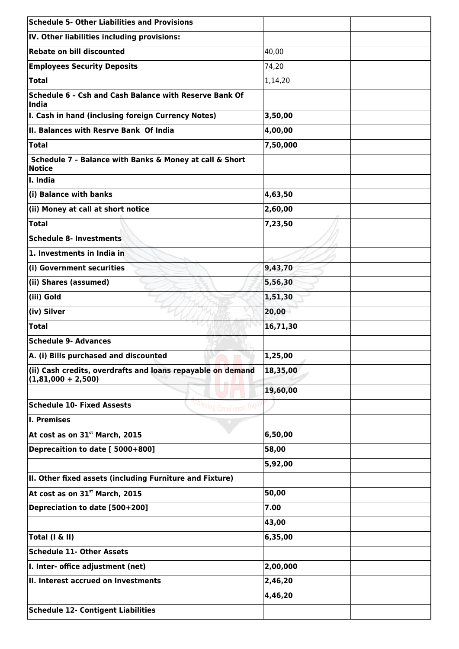| $\sf S$ chedule 5- Other Liabilities and Provisions                                 |          |
|-------------------------------------------------------------------------------------|----------|
| IV. Other liabilities including provisions:                                         |          |
| <b>Rebate on bill discounted</b>                                                    | 40,00    |
| <b>Employees Security Deposits</b>                                                  | 74,20    |
| Total                                                                               | 1,14,20  |
| Schedule 6 - Csh and Cash Balance with Reserve Bank Of<br>India                     |          |
| I. Cash in hand (inclusing foreign Currency Notes)                                  | 3,50,00  |
| II. Balances with Resrve Bank Of India                                              | 4,00,00  |
| $\sf {Total}$                                                                       | 7,50,000 |
| Schedule 7 - Balance with Banks & Money at call & Short<br><b>Notice</b>            |          |
| I. India                                                                            |          |
| (i) Balance with banks                                                              | 4,63,50  |
| (ii) Money at call at short notice                                                  | 2,60,00  |
| $\sf {Total}$                                                                       | 7,23,50  |
| Schedule 8- Investments                                                             |          |
| 1. Investments in India in                                                          |          |
| (i) Government securities                                                           | 9,43,70  |
| (ii) Shares (assumed)                                                               | 5,56,30  |
| (iii) Gold                                                                          | 1,51,30  |
| (iv) Silver                                                                         | 20,00    |
| <b>Total</b>                                                                        | 16,71,30 |
| <b>Schedule 9- Advances</b>                                                         |          |
| A. (i) Bills purchased and discounted                                               | 1,25,00  |
| (ii) Cash credits, overdrafts and loans repayable on demand<br>$(1,81,000 + 2,500)$ | 18,35,00 |
|                                                                                     | 19,60,00 |
| <b>Schedule 10- Fixed Assests</b>                                                   |          |
| I. Premises                                                                         |          |
| At cost as on 31st March, 2015                                                      | 6,50,00  |
| Deprecaition to date [ 5000+800]                                                    | 58,00    |
|                                                                                     | 5,92,00  |
| II. Other fixed assets (including Furniture and Fixture)                            |          |
| At cost as on 31st March, 2015                                                      | 50,00    |
| Depreciation to date [500+200]                                                      | 7.00     |
|                                                                                     | 43,00    |
| Total (I & II)                                                                      | 6,35,00  |
| <b>Schedule 11- Other Assets</b>                                                    |          |
| I. Inter- office adjustment (net)                                                   | 2,00,000 |
| II. Interest accrued on Investments                                                 | 2,46,20  |
|                                                                                     | 4,46,20  |
| <b>Schedule 12- Contigent Liabilities</b>                                           |          |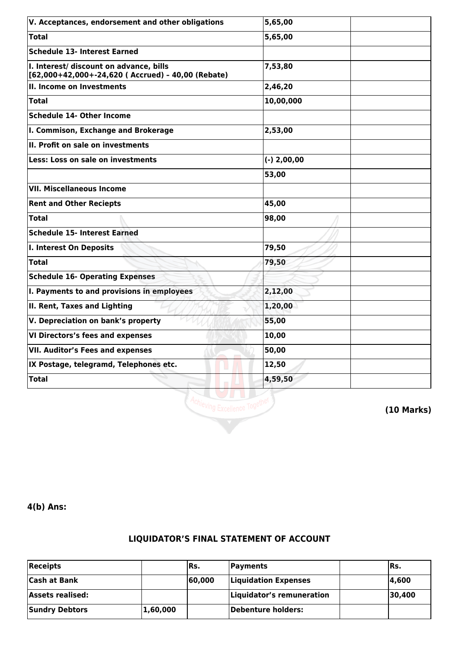| V. Acceptances, endorsement and other obligations                                             | 5,65,00       |
|-----------------------------------------------------------------------------------------------|---------------|
| <b>Total</b>                                                                                  | 5,65,00       |
| <b>Schedule 13- Interest Earned</b>                                                           |               |
| I. Interest/ discount on advance, bills<br>[62,000+42,000+-24,620 ( Accrued) - 40,00 (Rebate) | 7,53,80       |
| II. Income on Investments                                                                     | 2,46,20       |
| <b>Total</b>                                                                                  | 10,00,000     |
| <b>Schedule 14- Other Income</b>                                                              |               |
| I. Commison, Exchange and Brokerage                                                           | 2,53,00       |
| II. Profit on sale on investments                                                             |               |
| Less: Loss on sale on investments                                                             | $(-)$ 2,00,00 |
|                                                                                               | 53,00         |
| <b>VII. Miscellaneous Income</b>                                                              |               |
| <b>Rent and Other Reciepts</b>                                                                | 45,00         |
| <b>Total</b>                                                                                  | 98,00         |
| <b>Schedule 15- Interest Earned</b>                                                           |               |
| I. Interest On Deposits                                                                       | 79,50         |
| <b>Total</b>                                                                                  | 79,50         |
| <b>Schedule 16- Operating Expenses</b>                                                        |               |
| I. Payments to and provisions in employees                                                    | 2,12,00       |
| II. Rent, Taxes and Lighting                                                                  | 1,20,00       |
| V. Depreciation on bank's property                                                            | 55,00         |
| VI Directors's fees and expenses                                                              | 10,00         |
| <b>VII. Auditor's Fees and expenses</b>                                                       | 50,00         |
| IX Postage, telegramd, Telephones etc.                                                        | 12,50         |
| <b>Total</b>                                                                                  | 4,59,50       |



**(10 Marks)**

**4(b) Ans:**

## **LIQUIDATOR'S FINAL STATEMENT OF ACCOUNT**

| $ $ Receipts          |          | IRs.   | <b>Payments</b>           | IRs.   |
|-----------------------|----------|--------|---------------------------|--------|
| <b>Cash at Bank</b>   |          | 60,000 | Liquidation Expenses      | 14.600 |
| Assets realised:      |          |        | Liquidator's remuneration | 30,400 |
| <b>Sundry Debtors</b> | 1,60,000 |        | Debenture holders:        |        |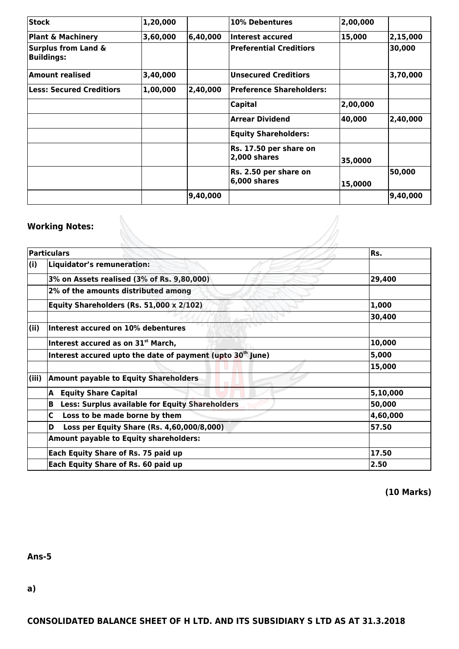| <b>Stock</b>                                        | 1,20,000 |          | 10% Debentures                            | 2,00,000 |          |
|-----------------------------------------------------|----------|----------|-------------------------------------------|----------|----------|
| <b>Plant &amp; Machinery</b>                        | 3,60,000 | 6,40,000 | Interest accured                          | 15,000   | 2,15,000 |
| <b>Surplus from Land &amp;</b><br><b>Buildings:</b> |          |          | <b>Preferential Creditiors</b>            |          | 30,000   |
| <b>Amount realised</b>                              | 3,40,000 |          | <b>Unsecured Creditiors</b>               |          | 3,70,000 |
| <b>Less: Secured Creditiors</b>                     | 1,00,000 | 2,40,000 | Preference Shareholders:                  |          |          |
|                                                     |          |          | <b>Capital</b>                            | 2,00,000 |          |
|                                                     |          |          | <b>Arrear Dividend</b>                    | 40,000   | 2,40,000 |
|                                                     |          |          | <b>Equity Shareholders:</b>               |          |          |
|                                                     |          |          | Rs. 17.50 per share on<br>$ 2,000$ shares | 35,0000  |          |
|                                                     |          |          | Rs. 2.50 per share on<br>$6,000$ shares   | 15,0000  | 50,000   |
|                                                     |          | 9,40,000 |                                           |          | 9,40,000 |

## **Working Notes:**

|       | <b>Working Notes:</b>                                                  |            |
|-------|------------------------------------------------------------------------|------------|
|       | <b>Particulars</b>                                                     | lRs.       |
| (i)   | Liquidator's remuneration:                                             |            |
|       | 3% on Assets realised (3% of Rs. 9,80,000)                             | 29,400     |
|       | 2% of the amounts distributed among                                    |            |
|       | Equity Shareholders (Rs. 51,000 x 2/102)                               | 1,000      |
|       |                                                                        | 30,400     |
| (ii)  | Interest accured on 10% debentures                                     |            |
|       | Interest accured as on 31 <sup>st</sup> March,                         | 10,000     |
|       | Interest accured upto the date of payment (upto 30 <sup>th</sup> June) | 5,000      |
|       |                                                                        | 15,000     |
| (iii) | <b>Amount payable to Equity Shareholders</b>                           |            |
|       | <b>Equity Share Capital</b><br>A                                       | 5, 10, 000 |
|       | <b>Less: Surplus available for Equity Shareholders</b><br>в            | 50,000     |
|       | C<br>Loss to be made borne by them                                     | 4,60,000   |
|       | Loss per Equity Share (Rs. 4,60,000/8,000)<br>D                        | 57.50      |
|       | <b>Amount payable to Equity shareholders:</b>                          |            |
|       | Each Equity Share of Rs. 75 paid up                                    | 17.50      |
|       | Each Equity Share of Rs. 60 paid up                                    | 2.50       |

**(10 Marks)**

**Ans-5**

**a)**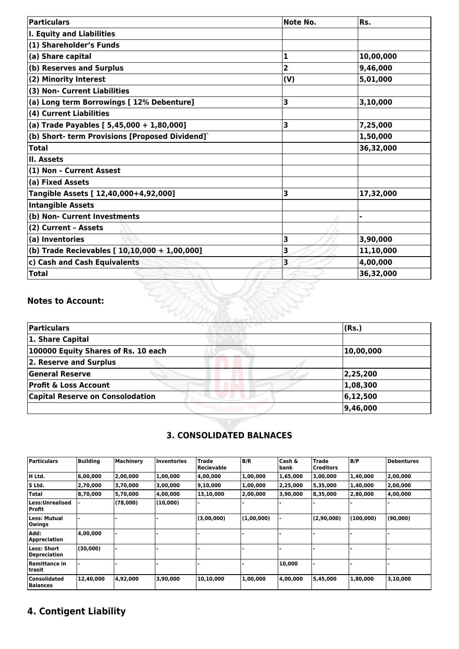| <b>Particulars</b>                              | Note No. | Rs.       |
|-------------------------------------------------|----------|-----------|
| <b>I. Equity and Liabilities</b>                |          |           |
| (1) Shareholder's Funds                         |          |           |
| (a) Share capital                               | 1        | 10,00,000 |
| (b) Reserves and Surplus                        | 2        | 9,46,000  |
| (2) Minority Interest                           | (V)      | 5,01,000  |
| (3) Non- Current Liabilities                    |          |           |
| (a) Long term Borrowings [ 12% Debenture]       | 3        | 3,10,000  |
| (4) Current Liabilities                         |          |           |
| (a) Trade Payables [ 5,45,000 + 1,80,000]       | 3        | 7,25,000  |
| (b) Short- term Provisions [Proposed Dividend]` |          | 1,50,000  |
| <b>Total</b>                                    |          | 36,32,000 |
| II. Assets                                      |          |           |
| (1) Non - Current Assest                        |          |           |
| (a) Fixed Assets                                |          |           |
| Tangible Assets [ 12,40,000+4,92,000]           | 3        | 17,32,000 |
| <b>Intangible Assets</b>                        |          |           |
| (b) Non- Current Investments                    |          |           |
| (2) Current - Assets                            |          |           |
| (a) Inventories                                 | 3        | 3,90,000  |
| (b) Trade Recievables [ 10,10,000 + 1,00,000]   | 3        | 11,10,000 |
| c) Cash and Cash Equivalents                    | 3        | 4,00,000  |
| <b>Total</b>                                    |          | 36,32,000 |

## **Notes to Account:**

| Particulars                             | (Rs.)     |
|-----------------------------------------|-----------|
| 1. Share Capital                        |           |
| 100000 Equity Shares of Rs. 10 each     | 10,00,000 |
| 2. Reserve and Surplus                  |           |
| <b>General Reserve</b>                  | 2,25,200  |
| <b>Profit &amp; Loss Account</b>        | 1,08,300  |
| <b>Capital Reserve on Consolodation</b> | 6,12,500  |
|                                         | 9,46,000  |

## **3. CONSOLIDATED BALNACES**

| <b>Particulars</b>                     | <b>Building</b> | Machinery | lInventories | <b>Trade</b><br>Recievable | B/R        | Cash &<br>,bank | <b>Trade</b><br><b>Creditors</b> | B/P       | <b>Debentures</b> |
|----------------------------------------|-----------------|-----------|--------------|----------------------------|------------|-----------------|----------------------------------|-----------|-------------------|
| H Ltd.                                 | 6,00,000        | 2,00,000  | 1,00,000     | 4,00,000                   | 1,00,000   | 1,65,000        | 3,00,000                         | 1,40,000  | 2,00,000          |
| lS Ltd.                                | 2,70,000        | 3,70,000  | 3,00,000     | 9,10,000                   | 1,00,000   | 2,25,000        | 5,35,000                         | 1,40,000  | 2,00,000          |
| <b>Total</b>                           | 8,70,000        | 5,70,000  | 4.00.000     | 13,10,000                  | 2,00,000   | 3,90,000        | 8,35,000                         | 2,80,000  | 4,00,000          |
| Less:Unrealised<br>Profit              |                 | (78,000)  | (10,000)     |                            |            |                 |                                  |           |                   |
| Less: Mutual<br>Owings                 |                 |           |              | (3,00,000)                 | (1,00,000) |                 | (2,90,000)                       | (100,000) | (90,000)          |
| Add:<br><b>Appreciation</b>            | 4,00,000        |           |              |                            |            |                 |                                  |           |                   |
| Less: Short<br><b>Depreciation</b>     | (30,000)        |           |              |                            |            |                 |                                  |           |                   |
| <b>Remittance in</b><br>trasit         |                 |           |              |                            |            | 10,000          |                                  |           |                   |
| <b>Consolidated</b><br><b>Balances</b> | 12,40,000       | 4,92,000  | 3,90,000     | 10,10,000                  | 1,00,000   | 4,00,000        | 5,45,000                         | 1,80,000  | 3,10,000          |

## **4. Contigent Liability**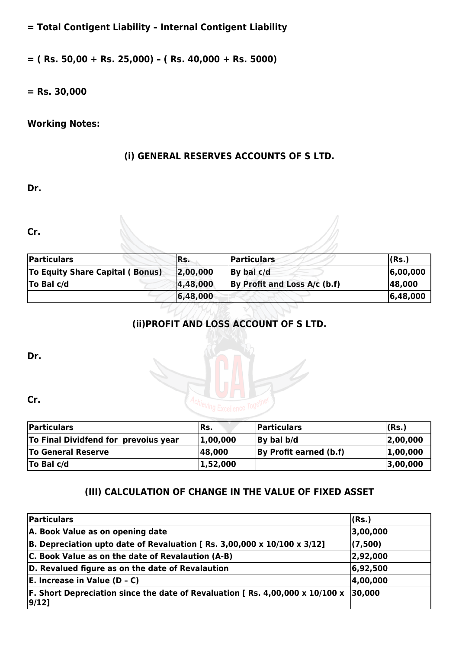**= Total Contigent Liability – Internal Contigent Liability**

**= ( Rs. 50,00 + Rs. 25,000) – ( Rs. 40,000 + Rs. 5000)**

**= Rs. 30,000**

## **Working Notes:**

## **(i) GENERAL RESERVES ACCOUNTS OF S LTD.**

**Dr.** 

**Cr.** 

| <b>Particulars</b>                     | IRs.     | <b>Particulars</b>           | (Rs.)    |
|----------------------------------------|----------|------------------------------|----------|
| <b>To Equity Share Capital (Bonus)</b> | 2,00,000 | By bal c/d                   | 6,00,000 |
| $\overline{a}$ To Bal c/d              | 4,48,000 | By Profit and Loss A/c (b.f) | 48,000   |
|                                        | 6,48,000 |                              | 6,48,000 |

## **(ii)PROFIT AND LOSS ACCOUNT OF S LTD.**

**Dr.** 

**Cr.** 

| <b>Particulars</b>                   | IRs.     | <b>Particulars</b>     | (Rs.)    |
|--------------------------------------|----------|------------------------|----------|
| To Final Dividfend for prevoius year | 1,00,000 | By bal b/d             | 2,00,000 |
| <b>To General Reserve</b>            | 48,000   | By Profit earned (b.f) | 1,00,000 |
| To Bal $c/d$                         | 1,52,000 |                        | 3,00,000 |

## **(III) CALCULATION OF CHANGE IN THE VALUE OF FIXED ASSET**

| Particulars                                                                             | (Rs.)    |
|-----------------------------------------------------------------------------------------|----------|
| A. Book Value as on opening date                                                        | 3,00,000 |
| B. Depreciation upto date of Revaluation [Rs. 3,00,000 x 10/100 x 3/12]                 | (7,500)  |
| C. Book Value as on the date of Revalaution (A-B)                                       | 2,92,000 |
| D. Revalued figure as on the date of Revalaution                                        | 6,92,500 |
| $E$ . Increase in Value (D - C)                                                         | 4,00,000 |
| F. Short Depreciation since the date of Revaluation [ Rs. 4,00,000 x 10/100 x<br> 9/12] | 30,000   |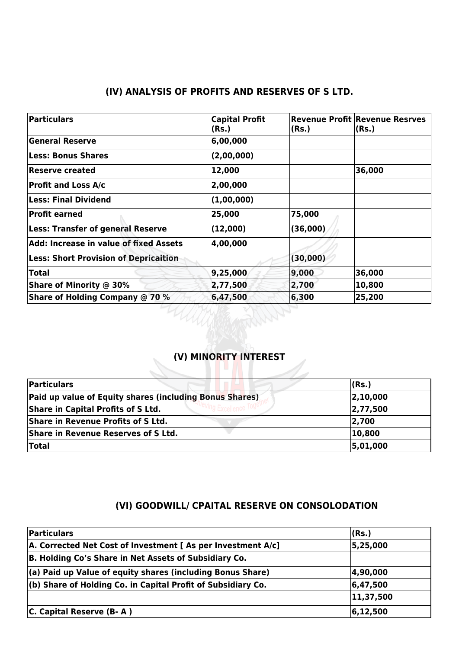## **(IV) ANALYSIS OF PROFITS AND RESERVES OF S LTD.**

| Particulars                                  | <b>Capital Profit</b><br>(Rs.) | (Rs.)    | <b>Revenue Profit Revenue Resrves</b><br>(Rs.) |
|----------------------------------------------|--------------------------------|----------|------------------------------------------------|
| <b>General Reserve</b>                       | 6,00,000                       |          |                                                |
| <b>Less: Bonus Shares</b>                    | (2,00,000)                     |          |                                                |
| Reserve created                              | 12,000                         |          | 36,000                                         |
| <b>Profit and Loss A/c</b>                   | 2,00,000                       |          |                                                |
| $\sf{Less: Final Dividend}$                  | (1,00,000)                     |          |                                                |
| <b>Profit earned</b>                         | 25,000                         | 75,000   |                                                |
| <b>Less: Transfer of general Reserve</b>     | (12,000)                       | (36,000) |                                                |
| Add: Increase in value of fixed Assets       | 4,00,000                       |          |                                                |
| <b>Less: Short Provision of Depricaition</b> |                                | (30,000) |                                                |
| <b>Total</b>                                 | 9,25,000                       | 9,000    | 36,000                                         |
| <b>Share of Minority @ 30%</b>               | 2,77,500                       | 2,700    | 10,800                                         |
| <b>Share of Holding Company @ 70 %</b>       | 6,47,500                       | 6,300    | 25,200                                         |

## **(V) MINORITY INTEREST**

| Particulars                                             | (Rs.)    |
|---------------------------------------------------------|----------|
| Paid up value of Equity shares (including Bonus Shares) | 2,10,000 |
| Share in Capital Profits of S Ltd.                      | 2,77,500 |
| Share in Revenue Profits of S Ltd.                      | 2,700    |
| Share in Revenue Reserves of S Ltd.                     | 10,800   |
| <b>Total</b>                                            | 5,01,000 |

## **(VI) GOODWILL/ CPAITAL RESERVE ON CONSOLODATION**

| Particulars                                                        | (Rs.)      |
|--------------------------------------------------------------------|------------|
| A. Corrected Net Cost of Investment [ As per Investment A/c]       | 5,25,000   |
| B. Holding Co's Share in Net Assets of Subsidiary Co.              |            |
| $\vert$ (a) Paid up Value of equity shares (including Bonus Share) | 4,90,000   |
| $ $ (b) Share of Holding Co. in Capital Profit of Subsidiary Co.   | 6,47,500   |
|                                                                    | 11,37,500  |
| $ C.$ Capital Reserve $(B-A)$                                      | 6, 12, 500 |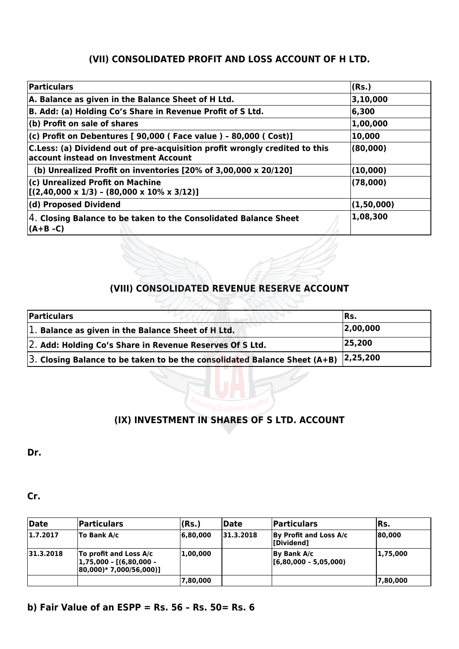## **(VII) CONSOLIDATED PROFIT AND LOSS ACCOUNT OF H LTD.**

| Particulars                                                                                                          | (Rs.)      |
|----------------------------------------------------------------------------------------------------------------------|------------|
| A. Balance as given in the Balance Sheet of H Ltd.                                                                   | 3,10,000   |
| B. Add: (a) Holding Co's Share in Revenue Profit of S Ltd.                                                           | 6,300      |
| (b) Profit on sale of shares                                                                                         | 1,00,000   |
| (c) Profit on Debentures [ 90,000 ( Face value ) - 80,000 ( Cost)]                                                   | 10,000     |
| C.Less: (a) Dividend out of pre-acquisition profit wrongly credited to this<br>account instead on Investment Account | (80,000)   |
| (b) Unrealized Profit on inventories $[20%$ of 3,00,000 x 20/120]                                                    | (10,000)   |
| (c) Unrealized Profit on Machine<br>$[(2,40,000 \times 1/3) - (80,000 \times 10\% \times 3/12)]$                     | (78,000)   |
| (d) Proposed Dividend                                                                                                | (1,50,000) |
| 4. Closing Balance to be taken to the Consolidated Balance Sheet<br>(A+B -C)                                         | 1,08,300   |

## **(VIII) CONSOLIDATED REVENUE RESERVE ACCOUNT**

| Particulars                                                                   | IRs.     |
|-------------------------------------------------------------------------------|----------|
| $ 1$ . Balance as given in the Balance Sheet of H Ltd.                        | 2,00,000 |
| 2. Add: Holding Co's Share in Revenue Reserves Of S Ltd.                      | 25,200   |
| $ 3$ . Closing Balance to be taken to be the consolidated Balance Sheet (A+B) | 2,25,200 |



## **(IX) INVESTMENT IN SHARES OF S LTD. ACCOUNT**

**Dr.** 

**Cr.** 

| Date      | <b>Particulars</b>                                                                      | (Rs.)    | Date      | Particulars                           | Rs.      |
|-----------|-----------------------------------------------------------------------------------------|----------|-----------|---------------------------------------|----------|
| 1.7.2017  | To Bank A/c                                                                             | 6,80,000 | 31.3.2018 | By Profit and Loss A/c<br>[Dividend]  | 80,000   |
| 31.3.2018 | To profit and Loss A/c<br> 1,75,000 - [(6,80,000 -<br>$ 80,000\rangle$ * 7,000/56,000)] | 1,00,000 |           | By Bank A/c<br> [6,80,000 - 5,05,000) | 1,75,000 |
|           |                                                                                         | 7,80,000 |           |                                       | 7,80,000 |

## **b) Fair Value of an ESPP = Rs. 56 – Rs. 50= Rs. 6**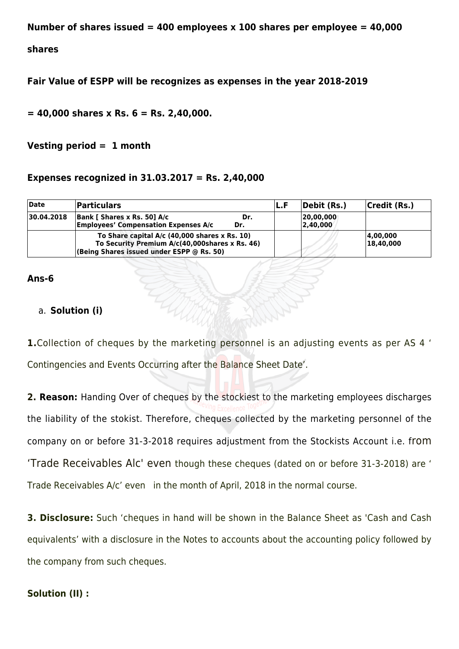**Number of shares issued = 400 employees x 100 shares per employee = 40,000**

#### **shares**

**Fair Value of ESPP will be recognizes as expenses in the year 2018-2019**

**= 40,000 shares x Rs. 6 = Rs. 2,40,000.**

**Vesting period = 1 month**

#### **Expenses recognized in 31.03.2017 = Rs. 2,40,000**

| Date       | <b>Particulars</b>                                                                                                                             |            | IL.F | Debit (Rs.)            | Credit (Rs.)          |
|------------|------------------------------------------------------------------------------------------------------------------------------------------------|------------|------|------------------------|-----------------------|
| 30.04.2018 | Bank [ Shares x Rs. 50] A/c<br><b>Employees' Compensation Expenses A/c</b>                                                                     | Dr.<br>Dr. |      | 20,00,000 <br>2.40.000 |                       |
|            | To Share capital $A/c$ (40,000 shares x Rs. 10)<br>To Security Premium A/c(40,000shares x Rs. 46)<br>(Being Shares issued under ESPP @ Rs. 50) |            |      |                        | 4,00,000<br>18,40,000 |

#### **Ans-6**

### a. **Solution (i)**

**1.**Collection of cheques by the marketing personnel is an adjusting events as per AS 4 ' Contingencies and Events Occurring after the Balance Sheet Date'.

**2. Reason:** Handing Over of cheques by the stockiest to the marketing employees discharges the liability of the stokist. Therefore, cheques collected by the marketing personnel of the company on or before 31-3-2018 requires adjustment from the Stockists Account i.e. from 'Trade Receivables Alc' even though these cheques (dated on or before 31-3-2018) are ' Trade Receivables A/c' even in the month of April, 2018 in the normal course.

**3. Disclosure:** Such 'cheques in hand will be shown in the Balance Sheet as 'Cash and Cash equivalents' with a disclosure in the Notes to accounts about the accounting policy followed by the company from such cheques.

#### **Solution (II) :**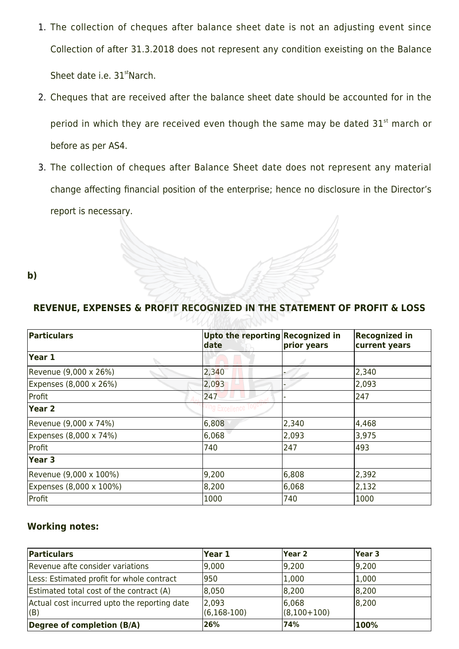- 1. The collection of cheques after balance sheet date is not an adjusting event since Collection of after 31.3.2018 does not represent any condition exeisting on the Balance Sheet date i.e. 31<sup>st</sup>Narch.
- 2. Cheques that are received after the balance sheet date should be accounted for in the period in which they are received even though the same may be dated  $31<sup>st</sup>$  march or before as per AS4.
- 3. The collection of cheques after Balance Sheet date does not represent any material change affecting financial position of the enterprise; hence no disclosure in the Director's report is necessary.
- **b)**

| Particulars             | Upto the reporting Recognized in<br>date | prior years | <b>Recognized in</b><br>current years |
|-------------------------|------------------------------------------|-------------|---------------------------------------|
| Year 1                  |                                          |             |                                       |
| Revenue (9,000 x 26%)   | 2,340                                    |             | 2,340                                 |
| Expenses (8,000 x 26%)  | 2,093                                    |             | 2,093                                 |
| Profit                  | 247                                      |             | 247                                   |
| $Year$ 2                | g Excellence                             |             |                                       |
| Revenue (9,000 x 74%)   | 6,808                                    | 2,340       | 4,468                                 |
| Expenses (8,000 x 74%)  | 6,068                                    | 2,093       | 3,975                                 |
| Profit                  | 740                                      | 247         | 493                                   |
| Year 3                  |                                          |             |                                       |
| Revenue (9,000 x 100%)  | 9,200                                    | 6,808       | 2,392                                 |
| Expenses (8,000 x 100%) | 8,200                                    | 6,068       | 2,132                                 |
| Profit                  | 1000                                     | 740         | 1000                                  |

## **REVENUE, EXPENSES & PROFIT RECOGNIZED IN THE STATEMENT OF PROFIT & LOSS**

## **Working notes:**

| Particulars                                          | Year 1                    | lYear 2                | Year <sub>3</sub> |
|------------------------------------------------------|---------------------------|------------------------|-------------------|
| Revenue afte consider variations                     | 9,000                     | 9,200                  | 9,200             |
| Less: Estimated profit for whole contract            | 950                       | 1,000                  | 1,000             |
| Estimated total cost of the contract (A)             | 8,050                     | 8,200                  | 8,200             |
| Actual cost incurred upto the reporting date<br> (B) | 2,093<br>$(6, 168 - 100)$ | 6,068<br>$(8,100+100)$ | 8,200             |
| Degree of completion (B/A)                           | 26%                       | 74%                    | 100%              |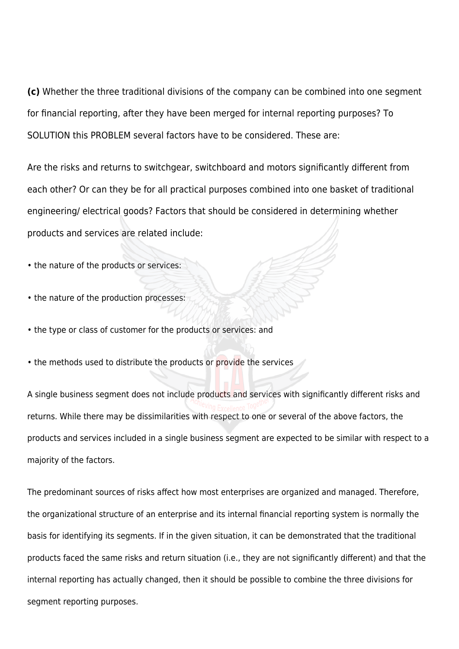**(c)** Whether the three traditional divisions of the company can be combined into one segment for financial reporting, after they have been merged for internal reporting purposes? To SOLUTION this PROBLEM several factors have to be considered. These are:

Are the risks and returns to switchgear, switchboard and motors significantly different from each other? Or can they be for all practical purposes combined into one basket of traditional engineering/ electrical goods? Factors that should be considered in determining whether products and services are related include:

- the nature of the products or services:
- the nature of the production processes:
- the type or class of customer for the products or services: and
- the methods used to distribute the products or provide the services

A single business segment does not include products and services with significantly different risks and returns. While there may be dissimilarities with respect to one or several of the above factors, the products and services included in a single business segment are expected to be similar with respect to a majority of the factors.

The predominant sources of risks affect how most enterprises are organized and managed. Therefore, the organizational structure of an enterprise and its internal financial reporting system is normally the basis for identifying its segments. If in the given situation, it can be demonstrated that the traditional products faced the same risks and return situation (i.e., they are not significantly different) and that the internal reporting has actually changed, then it should be possible to combine the three divisions for segment reporting purposes.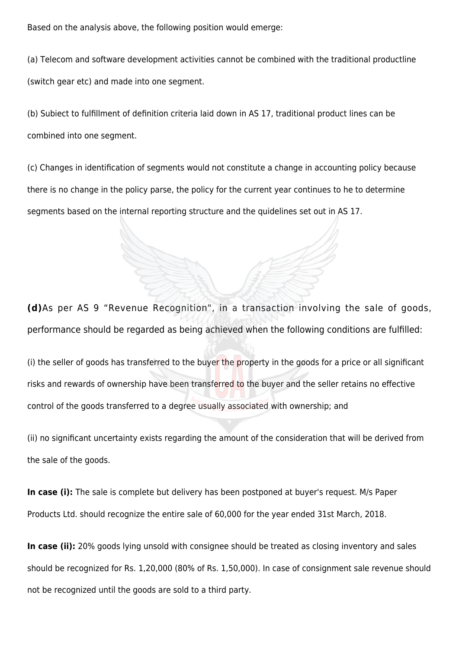Based on the analysis above, the following position would emerge:

(a) Telecom and software development activities cannot be combined with the traditional productline (switch gear etc) and made into one segment.

(b) Subiect to fulfillment of definition criteria laid down in AS 17, traditional product lines can be combined into one segment.

(c) Changes in identification of segments would not constitute a change in accounting policy because there is no change in the policy parse, the policy for the current year continues to he to determine segments based on the internal reporting structure and the quidelines set out in AS 17.

**(d)**As per AS 9 "Revenue Recognition", in a transaction involving the sale of goods, performance should be regarded as being achieved when the following conditions are fulfilled:

(i) the seller of goods has transferred to the buyer the property in the goods for a price or all significant risks and rewards of ownership have been transferred to the buyer and the seller retains no effective control of the goods transferred to a degree usually associated with ownership; and

(ii) no significant uncertainty exists regarding the amount of the consideration that will be derived from the sale of the goods.

**In case (i):** The sale is complete but delivery has been postponed at buyer's request. M/s Paper Products Ltd. should recognize the entire sale of 60,000 for the year ended 31st March, 2018.

**In case (ii):** 20% goods lying unsold with consignee should be treated as closing inventory and sales should be recognized for Rs. 1,20,000 (80% of Rs. 1,50,000). In case of consignment sale revenue should not be recognized until the goods are sold to a third party.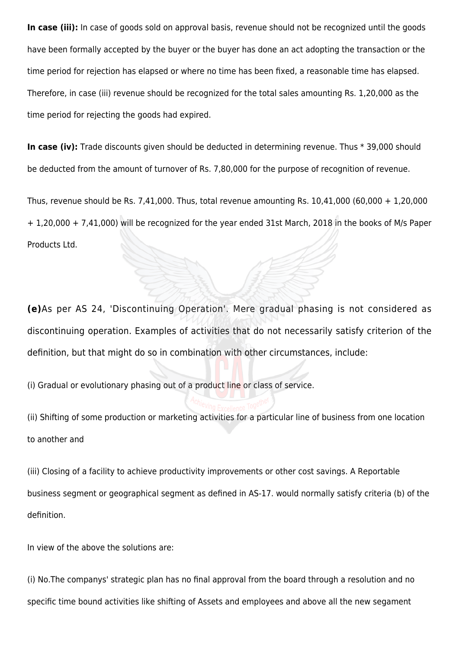In case (iii): In case of goods sold on approval basis, revenue should not be recognized until the goods have been formally accepted by the buyer or the buyer has done an act adopting the transaction or the time period for rejection has elapsed or where no time has been fixed, a reasonable time has elapsed. Therefore, in case (iii) revenue should be recognized for the total sales amounting Rs. 1,20,000 as the time period for rejecting the goods had expired.

In case (iv): Trade discounts given should be deducted in determining revenue. Thus \* 39,000 should be deducted from the amount of turnover of Rs. 7,80,000 for the purpose of recognition of revenue.

Thus, revenue should be Rs. 7,41,000. Thus, total revenue amounting Rs. 10,41,000 (60,000 + 1,20,000 + 1,20,000 + 7,41,000) will be recognized for the year ended 31st March, 2018 in the books of M/s Paper Products Ltd.

**(e)**As per AS 24, 'Discontinuing Operation'. Mere gradual phasing is not considered as discontinuing operation. Examples of activities that do not necessarily satisfy criterion of the definition, but that might do so in combination with other circumstances, include:

(i) Gradual or evolutionary phasing out of a product line or class of service.

(ii) Shifting of some production or marketing activities for a particular line of business from one location to another and

(iii) Closing of a facility to achieve productivity improvements or other cost savings. A Reportable business segment or geographical segment as defined in AS-17. would normally satisfy criteria (b) of the definition.

In view of the above the solutions are:

(i) No.The companys' strategic plan has no final approval from the board through a resolution and no specific time bound activities like shifting of Assets and employees and above all the new segament